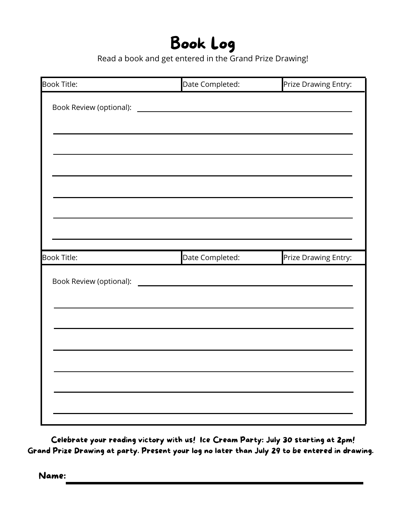# Book Log

Read a book and get entered in the Grand Prize Drawing!

| Book Title:        | Date Completed:                                                                                                                                                                                                                      | Prize Drawing Entry: |
|--------------------|--------------------------------------------------------------------------------------------------------------------------------------------------------------------------------------------------------------------------------------|----------------------|
|                    |                                                                                                                                                                                                                                      |                      |
|                    |                                                                                                                                                                                                                                      |                      |
|                    |                                                                                                                                                                                                                                      |                      |
|                    |                                                                                                                                                                                                                                      |                      |
|                    |                                                                                                                                                                                                                                      |                      |
|                    |                                                                                                                                                                                                                                      |                      |
|                    |                                                                                                                                                                                                                                      |                      |
|                    |                                                                                                                                                                                                                                      |                      |
|                    |                                                                                                                                                                                                                                      |                      |
|                    |                                                                                                                                                                                                                                      |                      |
|                    |                                                                                                                                                                                                                                      |                      |
| <b>Book Title:</b> | Date Completed:                                                                                                                                                                                                                      | Prize Drawing Entry: |
|                    |                                                                                                                                                                                                                                      |                      |
|                    | Book Review (optional): <u>contract and contract and contract and contract and contract of the contract of the contract of the contract of the contract of the contract of the contract of the contract of the contract of the c</u> |                      |
|                    |                                                                                                                                                                                                                                      |                      |
|                    |                                                                                                                                                                                                                                      |                      |
|                    |                                                                                                                                                                                                                                      |                      |
|                    |                                                                                                                                                                                                                                      |                      |
|                    |                                                                                                                                                                                                                                      |                      |
|                    |                                                                                                                                                                                                                                      |                      |
|                    |                                                                                                                                                                                                                                      |                      |
|                    |                                                                                                                                                                                                                                      |                      |

Celebrate your reading victory with us! Ice Cream Party: July 30 starting at 2pm! Grand Prize Drawing at party. Present your log no later than July 29 to be entered in drawing.

Name: